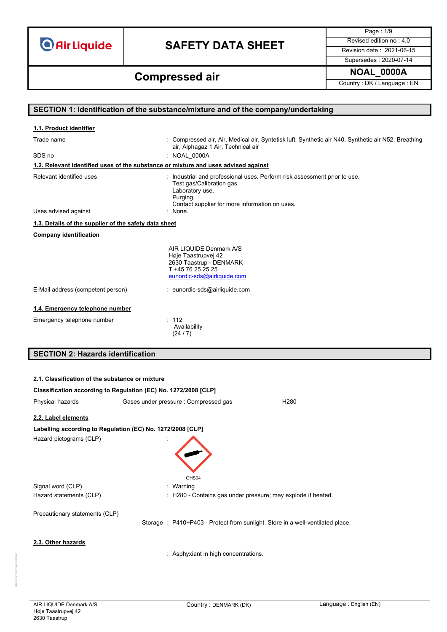**O** Air Liquide

# **SAFETY DATA SHEET** Revised edition no : 4.0

Page : 1/9 Supersedes : 2020-07-14

**NOAL\_0000A Compressed air**

Country : DK / Language : EN

### **SECTION 1: Identification of the substance/mixture and of the company/undertaking** Trade name **in the syntetisk luft, Air, Medical air, Syntetisk luft**, Synthetic air N40, Synthetic air N52, Breathing air, Alphagaz 1 Air, Technical air SDS no : NOAL\_0000A Relevant identified uses **industrial and professional uses**. Perform risk assessment prior to use. Test gas/Calibration gas. Laboratory use. Purging. Contact supplier for more information on uses. Uses advised against **Company identification** AIR LIQUIDE Denmark A/S Høje Taastrupvej 42 2630 Taastrup - DENMARK T +45 76 25 25 25 [eunordic-sds@airliquide.com](mailto:eunordic-sds@airliquide.com) E-Mail address (competent person) : eunordic-sds@airliquide.com **1.4. Emergency telephone number** Emergency telephone number : 112 Availability (24 / 7) **SECTION 2: Hazards identification 1.1. Product identifier 1.2. Relevant identified uses of the substance or mixture and uses advised against 1.3. Details of the supplier of the safety data sheet**

|                                                            | Classification according to Regulation (EC) No. 1272/2008 [CLP]                  |                                                            |
|------------------------------------------------------------|----------------------------------------------------------------------------------|------------------------------------------------------------|
| Physical hazards                                           | Gases under pressure : Compressed gas                                            | H <sub>280</sub>                                           |
| 2.2. Label elements                                        |                                                                                  |                                                            |
| Labelling according to Regulation (EC) No. 1272/2008 [CLP] |                                                                                  |                                                            |
| Hazard pictograms (CLP)                                    | GHS04                                                                            |                                                            |
| Signal word (CLP)                                          | Warning                                                                          |                                                            |
| Hazard statements (CLP)                                    |                                                                                  | H280 - Contains gas under pressure; may explode if heated. |
| Precautionary statements (CLP)                             | - Storage : P410+P403 - Protect from sunlight. Store in a well-ventilated place. |                                                            |
| 2.3. Other hazards                                         | : Asphyxiant in high concentrations.                                             |                                                            |

**2.1. Classification of the substance or mixture**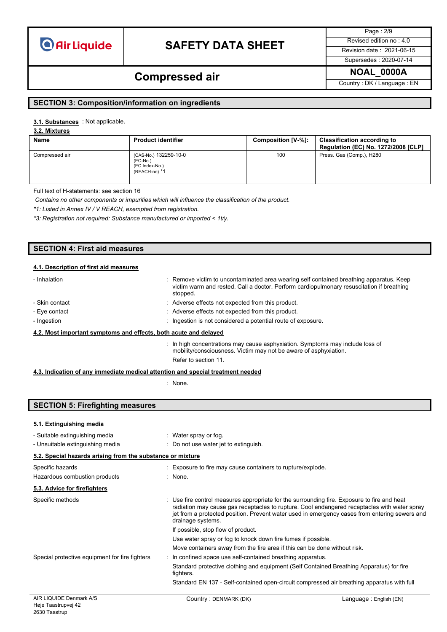**Air Liquide** 

# **SAFETY DATA SHEET** Revised edition no : 4.0

Page : 2/9

#### Supersedes : 2020-07-14

## **NOAL\_0000A Compressed air**

Country : DK / Language : EN

#### **SECTION 3: Composition/information on ingredients**

#### 3.1. **Substances** : Not applicable.

### **3.2. Mixtures**

| <b>Name</b>    | <b>Product identifier</b>                                              | Composition [V-%]: | <b>Classification according to</b><br><b>Regulation (EC) No. 1272/2008 [CLP]</b> |
|----------------|------------------------------------------------------------------------|--------------------|----------------------------------------------------------------------------------|
| Compressed air | (CAS-No.) 132259-10-0<br>$(EC-No.)$<br>(EC Index-No.)<br>(REACH-no) *1 | 100                | Press. Gas (Comp.), H280                                                         |

Full text of H-statements: see section 16

*Contains no other components or impurities which will influence the classification of the product.*

*\*1: Listed in Annex IV / V REACH, exempted from registration.*

*\*3: Registration not required: Substance manufactured or imported < 1t/y.*

| <b>SECTION 4: First aid measures</b>   |  |
|----------------------------------------|--|
| 4.1. Description of first aid measures |  |

| - Inhalation                                                     | : Remove victim to uncontaminated area wearing self contained breathing apparatus. Keep<br>victim warm and rested. Call a doctor. Perform cardiopulmonary resuscitation if breathing<br>stopped. |
|------------------------------------------------------------------|--------------------------------------------------------------------------------------------------------------------------------------------------------------------------------------------------|
| - Skin contact                                                   | : Adverse effects not expected from this product.                                                                                                                                                |
| - Eye contact                                                    | : Adverse effects not expected from this product.                                                                                                                                                |
| - Ingestion                                                      | Ingestion is not considered a potential route of exposure.                                                                                                                                       |
| 4.2. Most important symptoms and effects, both acute and delayed |                                                                                                                                                                                                  |

: In high concentrations may cause asphyxiation. Symptoms may include loss of mobility/consciousness. Victim may not be aware of asphyxiation. Refer to section 11.

#### **4.3. Indication of any immediate medical attention and special treatment needed**

: None.

### **SECTION 5: Firefighting measures**

#### **5.1. Extinguishing media**

- Suitable extinguishing media : Water spray or fog.

| - Unsuitable extinguishing media                           | : Do not use water jet to extinguish.                                                                                                                                                                                                                                                                             |
|------------------------------------------------------------|-------------------------------------------------------------------------------------------------------------------------------------------------------------------------------------------------------------------------------------------------------------------------------------------------------------------|
| 5.2. Special hazards arising from the substance or mixture |                                                                                                                                                                                                                                                                                                                   |
| Specific hazards                                           | : Exposure to fire may cause containers to rupture/explode.                                                                                                                                                                                                                                                       |
| Hazardous combustion products                              | $:$ None.                                                                                                                                                                                                                                                                                                         |
| 5.3. Advice for firefighters                               |                                                                                                                                                                                                                                                                                                                   |
| Specific methods                                           | : Use fire control measures appropriate for the surrounding fire. Exposure to fire and heat<br>radiation may cause gas receptacles to rupture. Cool endangered receptacles with water spray<br>jet from a protected position. Prevent water used in emergency cases from entering sewers and<br>drainage systems. |
|                                                            | If possible, stop flow of product.                                                                                                                                                                                                                                                                                |
|                                                            | Use water spray or fog to knock down fire fumes if possible.                                                                                                                                                                                                                                                      |
|                                                            | Move containers away from the fire area if this can be done without risk.                                                                                                                                                                                                                                         |
| Special protective equipment for fire fighters             | : In confined space use self-contained breathing apparatus.                                                                                                                                                                                                                                                       |
|                                                            | Standard protective clothing and equipment (Self Contained Breathing Apparatus) for fire<br>fighters.                                                                                                                                                                                                             |
|                                                            | Standard EN 137 - Self-contained open-circuit compressed air breathing apparatus with full                                                                                                                                                                                                                        |
|                                                            |                                                                                                                                                                                                                                                                                                                   |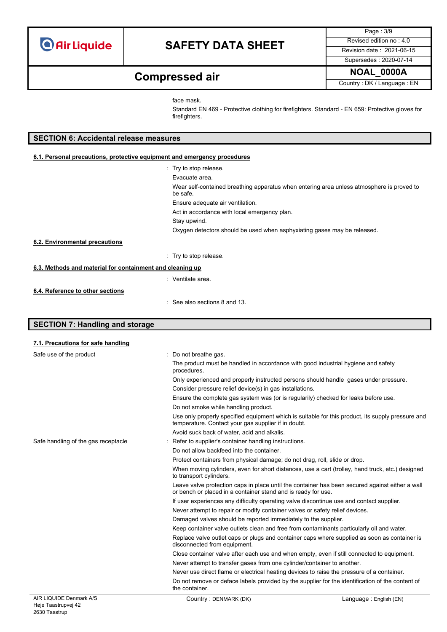Page : 3/9 Supersedes : 2020-07-14

## **NOAL\_0000A Compressed air**

Country : DK / Language : EN

face mask.

Standard EN 469 - Protective clothing for firefighters. Standard - EN 659: Protective gloves for firefighters.

### **SECTION 6: Accidental release measures**

| 6.1. Personal precautions, protective equipment and emergency procedures |                                                                                                       |  |
|--------------------------------------------------------------------------|-------------------------------------------------------------------------------------------------------|--|
|                                                                          | : Try to stop release.                                                                                |  |
|                                                                          | Evacuate area.                                                                                        |  |
|                                                                          | Wear self-contained breathing apparatus when entering area unless atmosphere is proved to<br>be safe. |  |
|                                                                          | Ensure adequate air ventilation.                                                                      |  |
|                                                                          | Act in accordance with local emergency plan.                                                          |  |
|                                                                          | Stay upwind.                                                                                          |  |
|                                                                          | Oxygen detectors should be used when asphyxiating gases may be released.                              |  |
| 6.2. Environmental precautions                                           |                                                                                                       |  |
|                                                                          | Try to stop release.                                                                                  |  |
| 6.3. Methods and material for containment and cleaning up                |                                                                                                       |  |
|                                                                          | : Ventilate area.                                                                                     |  |
| 6.4. Reference to other sections                                         |                                                                                                       |  |
|                                                                          | $\therefore$ See also sections 8 and 13.                                                              |  |

### **SECTION 7: Handling and storage**

| 7.1. Precautions for safe handling  |                                                                                                                                                                  |  |  |
|-------------------------------------|------------------------------------------------------------------------------------------------------------------------------------------------------------------|--|--|
| Safe use of the product             | : Do not breathe gas.                                                                                                                                            |  |  |
|                                     | The product must be handled in accordance with good industrial hygiene and safety<br>procedures.                                                                 |  |  |
|                                     | Only experienced and properly instructed persons should handle gases under pressure.                                                                             |  |  |
|                                     | Consider pressure relief device(s) in gas installations.                                                                                                         |  |  |
|                                     | Ensure the complete gas system was (or is regularily) checked for leaks before use.                                                                              |  |  |
|                                     | Do not smoke while handling product.                                                                                                                             |  |  |
|                                     | Use only properly specified equipment which is suitable for this product, its supply pressure and<br>temperature. Contact your gas supplier if in doubt.         |  |  |
|                                     | Avoid suck back of water, acid and alkalis.                                                                                                                      |  |  |
| Safe handling of the gas receptacle | Refer to supplier's container handling instructions.                                                                                                             |  |  |
|                                     | Do not allow backfeed into the container.                                                                                                                        |  |  |
|                                     | Protect containers from physical damage; do not drag, roll, slide or drop.                                                                                       |  |  |
|                                     | When moving cylinders, even for short distances, use a cart (trolley, hand truck, etc.) designed<br>to transport cylinders.                                      |  |  |
|                                     | Leave valve protection caps in place until the container has been secured against either a wall<br>or bench or placed in a container stand and is ready for use. |  |  |
|                                     | If user experiences any difficulty operating valve discontinue use and contact supplier.                                                                         |  |  |
|                                     | Never attempt to repair or modify container valves or safety relief devices.                                                                                     |  |  |
|                                     | Damaged valves should be reported immediately to the supplier.                                                                                                   |  |  |
|                                     | Keep container valve outlets clean and free from contaminants particularly oil and water.                                                                        |  |  |
|                                     | Replace valve outlet caps or plugs and container caps where supplied as soon as container is<br>disconnected from equipment.                                     |  |  |
|                                     | Close container valve after each use and when empty, even if still connected to equipment.                                                                       |  |  |
|                                     | Never attempt to transfer gases from one cylinder/container to another.                                                                                          |  |  |
|                                     | Never use direct flame or electrical heating devices to raise the pressure of a container.                                                                       |  |  |
|                                     | Do not remove or deface labels provided by the supplier for the identification of the content of<br>the container.                                               |  |  |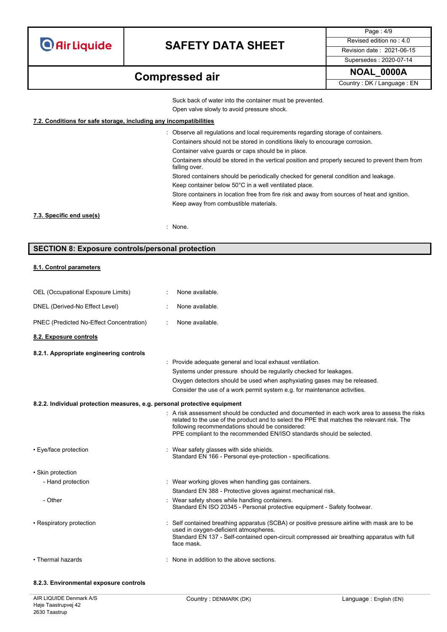**O** Air Liquide

# **SAFETY DATA SHEET** Revised edition no : 4.0

Page : 4/9 Supersedes : 2020-07-14

## **NOAL\_0000A Compressed air**

Country : DK / Language : EN

Suck back of water into the container must be prevented.

Open valve slowly to avoid pressure shock.

### **7.2. Conditions for safe storage, including any incompatibilities**

| : Observe all regulations and local requirements regarding storage of containers.                               |
|-----------------------------------------------------------------------------------------------------------------|
| Containers should not be stored in conditions likely to encourage corrosion.                                    |
| Container valve quards or caps should be in place.                                                              |
| Containers should be stored in the vertical position and properly secured to prevent them from<br>falling over. |
| Stored containers should be periodically checked for general condition and leakage.                             |
| Keep container below 50°C in a well ventilated place.                                                           |
| Store containers in location free from fire risk and away from sources of heat and ignition.                    |
| Keep away from combustible materials.                                                                           |
|                                                                                                                 |
| : None.                                                                                                         |
|                                                                                                                 |

### **SECTION 8: Exposure controls/personal protection**

#### **8.1. Control parameters**

| OEL (Occupational Exposure Limits)                                        | None available.                                                                                                                                                                                                                                                                                                         |
|---------------------------------------------------------------------------|-------------------------------------------------------------------------------------------------------------------------------------------------------------------------------------------------------------------------------------------------------------------------------------------------------------------------|
| DNEL (Derived-No Effect Level)                                            | None available.                                                                                                                                                                                                                                                                                                         |
| PNEC (Predicted No-Effect Concentration)                                  | None available.                                                                                                                                                                                                                                                                                                         |
| 8.2. Exposure controls                                                    |                                                                                                                                                                                                                                                                                                                         |
| 8.2.1. Appropriate engineering controls                                   |                                                                                                                                                                                                                                                                                                                         |
|                                                                           | : Provide adequate general and local exhaust ventilation.                                                                                                                                                                                                                                                               |
|                                                                           | Systems under pressure should be regularily checked for leakages.                                                                                                                                                                                                                                                       |
|                                                                           | Oxygen detectors should be used when asphyxiating gases may be released.                                                                                                                                                                                                                                                |
|                                                                           | Consider the use of a work permit system e.g. for maintenance activities.                                                                                                                                                                                                                                               |
| 8.2.2. Individual protection measures, e.g. personal protective equipment |                                                                                                                                                                                                                                                                                                                         |
|                                                                           | : A risk assessment should be conducted and documented in each work area to assess the risks<br>related to the use of the product and to select the PPE that matches the relevant risk. The<br>following recommendations should be considered:<br>PPE compliant to the recommended EN/ISO standards should be selected. |
| • Eye/face protection                                                     | : Wear safety glasses with side shields.<br>Standard EN 166 - Personal eye-protection - specifications.                                                                                                                                                                                                                 |
| • Skin protection                                                         |                                                                                                                                                                                                                                                                                                                         |
| - Hand protection                                                         | : Wear working gloves when handling gas containers.                                                                                                                                                                                                                                                                     |
|                                                                           | Standard EN 388 - Protective gloves against mechanical risk.                                                                                                                                                                                                                                                            |
| - Other                                                                   | Wear safety shoes while handling containers.<br>Standard EN ISO 20345 - Personal protective equipment - Safety footwear.                                                                                                                                                                                                |
| • Respiratory protection                                                  | Self contained breathing apparatus (SCBA) or positive pressure airline with mask are to be<br>used in oxygen-deficient atmospheres.<br>Standard EN 137 - Self-contained open-circuit compressed air breathing apparatus with full<br>face mask.                                                                         |
| • Thermal hazards                                                         | : None in addition to the above sections.                                                                                                                                                                                                                                                                               |
| 8.2.3. Environmental exposure controls                                    |                                                                                                                                                                                                                                                                                                                         |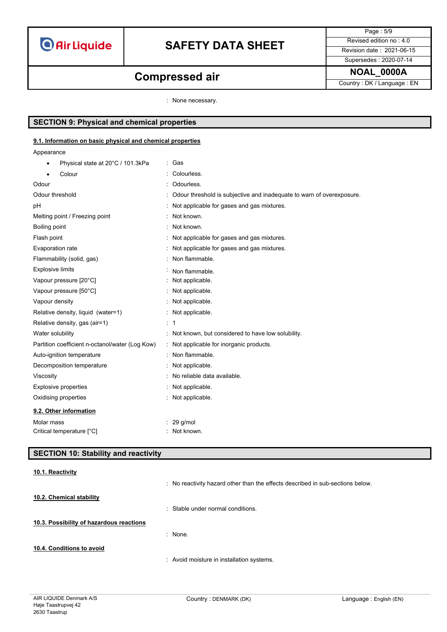

Page : 5/9 Supersedes : 2020-07-14

## **NOAL\_0000A Compressed air**

Country : DK / Language : EN

: None necessary.

### **SECTION 9: Physical and chemical properties**

#### **9.1. Information on basic physical and chemical properties**

Appearance

| Physical state at 20°C / 101.3kPa<br>$\bullet$  | : Gas                                                                 |
|-------------------------------------------------|-----------------------------------------------------------------------|
| Colour                                          | Colourless.                                                           |
| Odour                                           | Odourless.                                                            |
| Odour threshold                                 | Odour threshold is subjective and inadequate to warn of overexposure. |
| pH                                              | Not applicable for gases and gas mixtures.                            |
| Melting point / Freezing point                  | : Not known.                                                          |
| Boiling point                                   | : Not known.                                                          |
| Flash point                                     | Not applicable for gases and gas mixtures.                            |
| Evaporation rate                                | : Not applicable for gases and gas mixtures.                          |
| Flammability (solid, gas)                       | : Non flammable.                                                      |
| <b>Explosive limits</b>                         | Non flammable.                                                        |
| Vapour pressure [20°C]                          | Not applicable.                                                       |
| Vapour pressure [50°C]                          | Not applicable.                                                       |
| Vapour density                                  | : Not applicable.                                                     |
| Relative density, liquid (water=1)              | : Not applicable.                                                     |
| Relative density, gas (air=1)                   | $\therefore$ 1                                                        |
| Water solubility                                | : Not known, but considered to have low solubility.                   |
| Partition coefficient n-octanol/water (Log Kow) | : Not applicable for inorganic products.                              |
| Auto-ignition temperature                       | : Non flammable.                                                      |
| Decomposition temperature                       | Not applicable.                                                       |
| Viscosity                                       | No reliable data available.                                           |
| <b>Explosive properties</b>                     | : Not applicable.                                                     |
| Oxidising properties                            | Not applicable.                                                       |
| 9.2. Other information                          |                                                                       |
| Molar mass                                      | $: 29$ g/mol                                                          |
| Critical temperature [°C]                       | : Not known.                                                          |

### **SECTION 10: Stability and reactivity**

|                                          | : No reactivity hazard other than the effects described in sub-sections below. |
|------------------------------------------|--------------------------------------------------------------------------------|
| 10.2. Chemical stability                 |                                                                                |
|                                          | : Stable under normal conditions.                                              |
| 10.3. Possibility of hazardous reactions |                                                                                |
|                                          | : None.                                                                        |
| 10.4. Conditions to avoid                |                                                                                |
|                                          | : Avoid moisture in installation systems.                                      |

**10.1. Reactivity**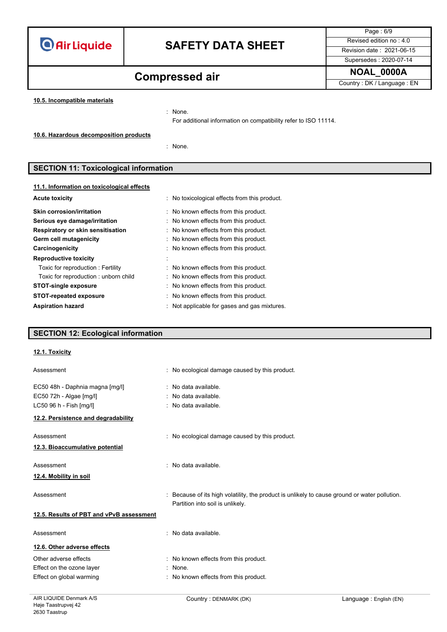

Page : 6/9 Supersedes : 2020-07-14

# **NOAL\_0000A Compressed air**

Country : DK / Language : EN

**10.5. Incompatible materials**

: None.

For additional information on compatibility refer to ISO 11114.

**10.6. Hazardous decomposition products**

: None.

### **SECTION 11: Toxicological information**

| 11.1. Information on toxicological effects |                                               |
|--------------------------------------------|-----------------------------------------------|
| <b>Acute toxicity</b>                      | : No toxicological effects from this product. |
| Skin corrosion/irritation                  | : No known effects from this product.         |
| Serious eye damage/irritation              | : No known effects from this product.         |
| Respiratory or skin sensitisation          | : No known effects from this product.         |
| Germ cell mutagenicity                     | : No known effects from this product.         |
| Carcinogenicity                            | : No known effects from this product.         |
| <b>Reproductive toxicity</b>               |                                               |
| Toxic for reproduction : Fertility         | : No known effects from this product.         |
| Toxic for reproduction: unborn child       | : No known effects from this product.         |
| <b>STOT-single exposure</b>                | : No known effects from this product.         |
| <b>STOT-repeated exposure</b>              | : No known effects from this product.         |
| <b>Aspiration hazard</b>                   | Not applicable for gases and gas mixtures.    |

### **SECTION 12: Ecological information**

#### **12.1. Toxicity**

| Assessment                                                 | : No ecological damage caused by this product.                                                                                    |
|------------------------------------------------------------|-----------------------------------------------------------------------------------------------------------------------------------|
| EC50 48h - Daphnia magna [mg/l]<br>EC50 72h - Algae [mg/l] | : No data available.<br>: No data available.                                                                                      |
| LC50 96 h - Fish [mg/l]                                    | : No data available.                                                                                                              |
| 12.2. Persistence and degradability                        |                                                                                                                                   |
| Assessment                                                 | : No ecological damage caused by this product.                                                                                    |
| 12.3. Bioaccumulative potential                            |                                                                                                                                   |
| Assessment                                                 | : No data available.                                                                                                              |
| 12.4. Mobility in soil                                     |                                                                                                                                   |
| Assessment                                                 | : Because of its high volatility, the product is unlikely to cause ground or water pollution.<br>Partition into soil is unlikely. |
| 12.5. Results of PBT and vPvB assessment                   |                                                                                                                                   |
| Assessment                                                 | : No data available.                                                                                                              |
| 12.6. Other adverse effects                                |                                                                                                                                   |
| Other adverse effects                                      | : No known effects from this product.                                                                                             |
| Effect on the ozone layer                                  | : None.                                                                                                                           |
| Effect on global warming                                   | : No known effects from this product.                                                                                             |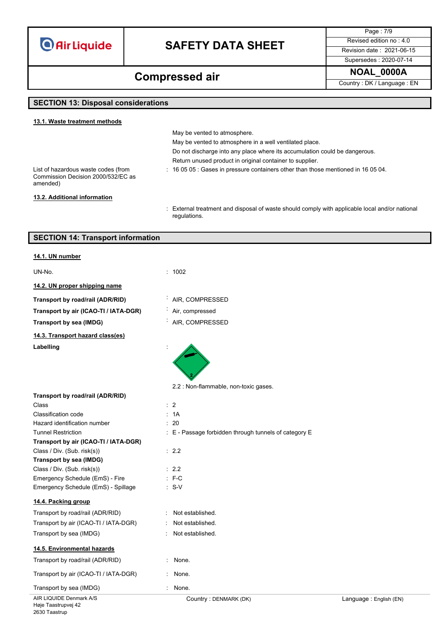**O** Air Liquide

# **SAFETY DATA SHEET** Revised edition no : 4.0

Supersedes : 2020-07-14

Page : 7/9

**NOAL\_0000A Compressed air**

Country : DK / Language : EN

## **SECTION 13: Disposal considerations**

| 13.1. Waste treatment methods                                                         |                                                                                                |
|---------------------------------------------------------------------------------------|------------------------------------------------------------------------------------------------|
|                                                                                       | May be vented to atmosphere.                                                                   |
|                                                                                       | May be vented to atmosphere in a well ventilated place.                                        |
|                                                                                       | Do not discharge into any place where its accumulation could be dangerous.                     |
|                                                                                       | Return unused product in original container to supplier.                                       |
| List of hazardous waste codes (from<br>Commission Decision 2000/532/EC as<br>amended) | $\div$ 16 05 05 $\div$ Gases in pressure containers other than those mentioned in 16 05 04.    |
| 13.2. Additional information                                                          |                                                                                                |
|                                                                                       | : External treatment and disposal of waste should comply with applicable local and/or national |

: External treatment and disposal of waste should comply with applicable local and/or national regulations.

| <b>SECTION 14: Transport information</b> |  |
|------------------------------------------|--|
|                                          |  |

| 14.1. UN number                                           |                                                       |
|-----------------------------------------------------------|-------------------------------------------------------|
| UN-No.                                                    | : 1002                                                |
| 14.2. UN proper shipping name                             |                                                       |
| Transport by road/rail (ADR/RID)                          | AIR, COMPRESSED                                       |
| Transport by air (ICAO-TI / IATA-DGR)                     | Air, compressed                                       |
| Transport by sea (IMDG)                                   | AIR, COMPRESSED                                       |
| 14.3. Transport hazard class(es)                          |                                                       |
| Labelling                                                 |                                                       |
|                                                           | 2.2 : Non-flammable, non-toxic gases.                 |
| Transport by road/rail (ADR/RID)                          |                                                       |
| Class                                                     | $\therefore$ 2                                        |
| Classification code                                       | : 1A<br>- 20                                          |
| Hazard identification number<br><b>Tunnel Restriction</b> |                                                       |
| Transport by air (ICAO-TI / IATA-DGR)                     | : E - Passage forbidden through tunnels of category E |
| Class / Div. (Sub. risk(s))                               | : 2.2                                                 |
| Transport by sea (IMDG)                                   |                                                       |
| Class / Div. (Sub. risk(s))                               | : 2.2                                                 |
| Emergency Schedule (EmS) - Fire                           | $E - C$                                               |
| Emergency Schedule (EmS) - Spillage                       | $: S-V$                                               |
| 14.4. Packing group                                       |                                                       |
| Transport by road/rail (ADR/RID)                          | Not established.                                      |
| Transport by air (ICAO-TI / IATA-DGR)                     | Not established.                                      |
| Transport by sea (IMDG)                                   | Not established.                                      |
| 14.5. Environmental hazards                               |                                                       |
| Transport by road/rail (ADR/RID)                          | None.                                                 |
| Transport by air (ICAO-TI / IATA-DGR)                     | None.                                                 |
| Transport by sea (IMDG)                                   | None.                                                 |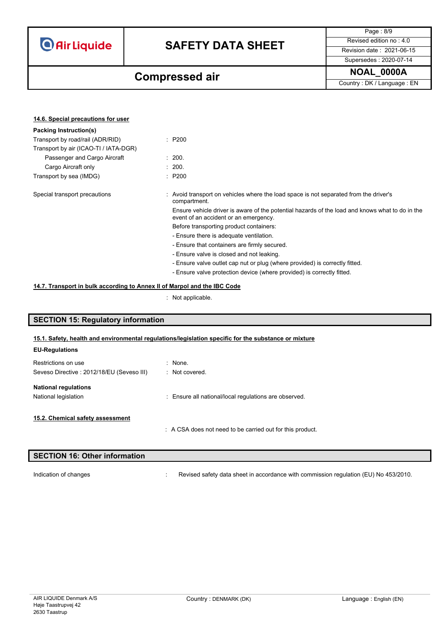**Air Liquide** 

# **SAFETY DATA SHEET** Revised edition no : 4.0

Page : 8/9 Supersedes : 2020-07-14

## **NOAL\_0000A Compressed air**

Country : DK / Language : EN

| 14.6. Special precautions for user                                       |                                                                                                                                          |
|--------------------------------------------------------------------------|------------------------------------------------------------------------------------------------------------------------------------------|
| <b>Packing Instruction(s)</b>                                            |                                                                                                                                          |
| Transport by road/rail (ADR/RID)                                         | $\therefore$ P200                                                                                                                        |
| Transport by air (ICAO-TI / IATA-DGR)                                    |                                                                                                                                          |
| Passenger and Cargo Aircraft                                             | : 200.                                                                                                                                   |
| Cargo Aircraft only                                                      | : 200.                                                                                                                                   |
| Transport by sea (IMDG)                                                  | $\therefore$ P200                                                                                                                        |
| Special transport precautions                                            | : Avoid transport on vehicles where the load space is not separated from the driver's<br>compartment.                                    |
|                                                                          | Ensure vehicle driver is aware of the potential hazards of the load and knows what to do in the<br>event of an accident or an emergency. |
|                                                                          | Before transporting product containers:                                                                                                  |
|                                                                          | - Ensure there is adequate ventilation.                                                                                                  |
|                                                                          | - Ensure that containers are firmly secured.                                                                                             |
|                                                                          | - Ensure valve is closed and not leaking.                                                                                                |
|                                                                          | - Ensure valve outlet cap nut or plug (where provided) is correctly fitted.                                                              |
|                                                                          | - Ensure valve protection device (where provided) is correctly fitted.                                                                   |
| 14.7. Transport in bulk according to Annex II of Marpol and the IBC Code |                                                                                                                                          |

: Not applicable.

### **SECTION 15: Regulatory information**

#### **15.1. Safety, health and environmental regulations/legislation specific for the substance or mixture**

| <b>EU-Regulations</b>                                             |                                                           |
|-------------------------------------------------------------------|-----------------------------------------------------------|
| Restrictions on use<br>Seveso Directive : 2012/18/EU (Seveso III) | $:$ None.<br>: Not covered.                               |
| <b>National regulations</b><br>National legislation               | : Ensure all national/local regulations are observed.     |
| 15.2. Chemical safety assessment                                  | : A CSA does not need to be carried out for this product. |

## **SECTION 16: Other information**

Indication of changes **interval of the COV**: Revised safety data sheet in accordance with commission regulation (EU) No 453/2010.